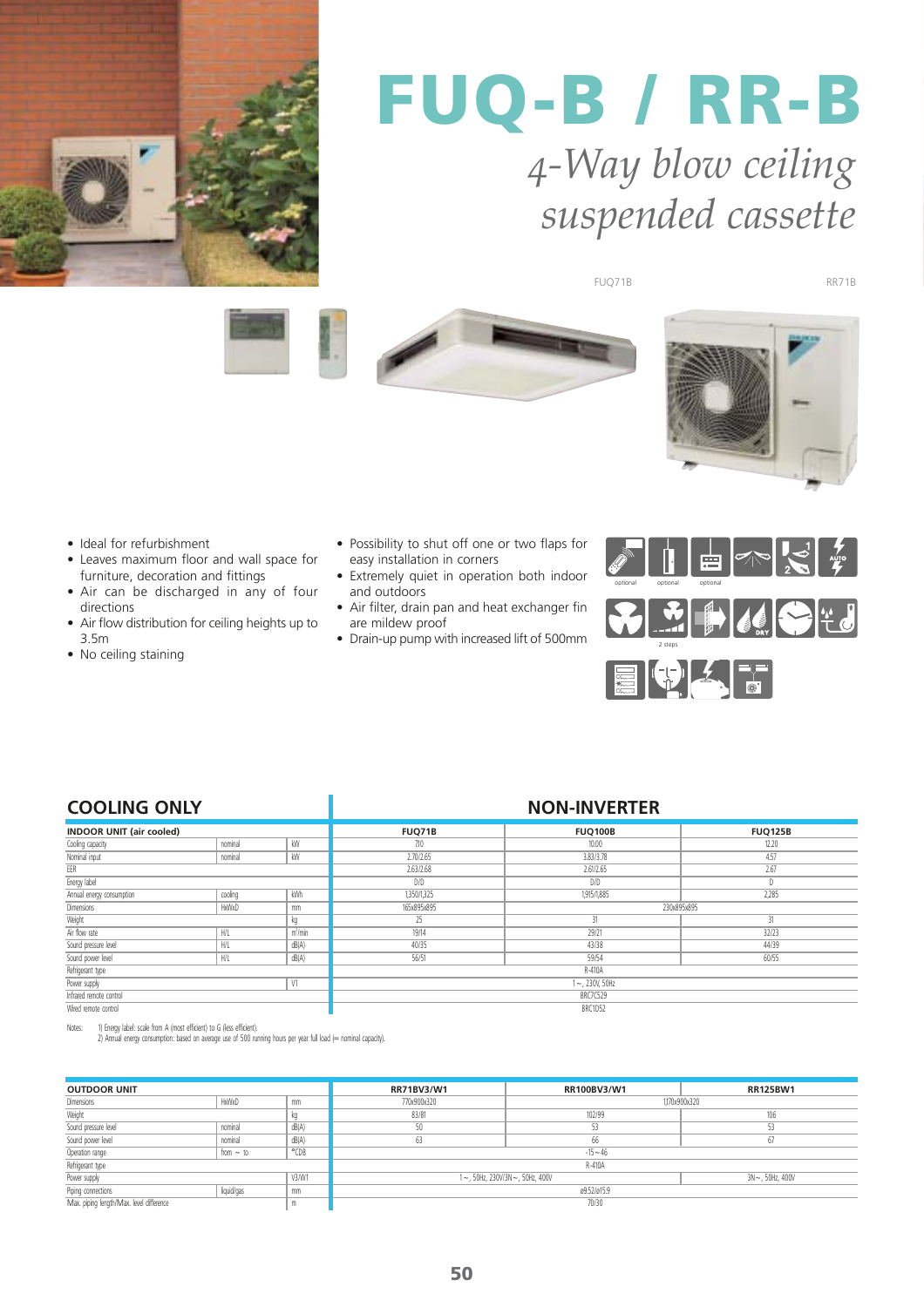

### *4-Way blow ceiling suspended cassette* **FUQ-B / RR-B**

FUQ71B









- Ideal for refurbishment
- Leaves maximum floor and wall space for furniture, decoration and fittings
- Air can be discharged in any of four directions • Air flow distribution for ceiling heights up to
- 3.5m
- No ceiling staining
- Possibility to shut off one or two flaps for easy installation in corners
- Extremely quiet in operation both indoor and outdoors
- Air filter, drain pan and heat exchanger fin are mildew proof
- Drain-up pump with increased lift of 500mm



| <b>COOLING ONLY</b>             |             |                  | <b>NON-INVERTER</b> |                |                |  |
|---------------------------------|-------------|------------------|---------------------|----------------|----------------|--|
| <b>INDOOR UNIT (air cooled)</b> |             |                  | FUQ71B              | <b>FUQ100B</b> | <b>FUQ125B</b> |  |
| Cooling capacity                | nominal     | kW               | 7.10                | 10.00          | 12.20          |  |
| Nominal input                   | nominal     | kW               | 2.70/2.65           | 3,83/3,78      | 4.57           |  |
| EER                             |             |                  | 2.63/2.68           | 2.61/2.65      | 2.67           |  |
| Energy label                    |             |                  | D/D                 | D/D            |                |  |
| Annual energy consumption       | cooling     | kWh              | 1,350/1,325         | 1,915/1,885    | 2,285          |  |
| Dimensions                      | HxWxD<br>mm |                  | 165x895x895         | 230x895x895    |                |  |
| Weight<br>kg                    |             | 25               | 31                  | 31             |                |  |
| Air flow rate                   | H/L         | $m^3/m$ in       | 19/14               | 29/21          | 32/23          |  |
| Sound pressure level            | H/L         | dB(A)            | 40/35               | 43/38          | 44/39          |  |
| Sound power level               | H/L         | dB(A)            | 56/51               | 59/54          | 60/55          |  |
| Refrigerant type                |             |                  | R-410A              |                |                |  |
| V1<br>Power supply              |             | $1 - 230V, 50Hz$ |                     |                |                |  |
| Infrared remote control         |             |                  | <b>BRC7C529</b>     |                |                |  |
| Wired remote control            |             |                  | BRC1D52             |                |                |  |

Notes: 1) Energy label: scale from A (most efficient) to G (less efficient). 2) Annual energy consumption: based on average use of 500 running hours per year full load (= nominal capacity).

| <b>OUTDOOR UNIT</b>                           |                |       | RR71BV3/W1                                           | RR100BV3/W1 | <b>RR125BW1</b> |
|-----------------------------------------------|----------------|-------|------------------------------------------------------|-------------|-----------------|
| Dimensions                                    | HxWxD          | mm    | 770x900x320<br>1.170x900x320                         |             |                 |
| Weight                                        |                |       | 83/81                                                | 102/99      | 106             |
| Sound pressure level                          | nominal        | dB(A) | 50                                                   | 53.         | 53              |
| Sound power level                             | nominal        | dB(A) | 63                                                   | 66          |                 |
| Operation range                               | from $\sim$ to | °CDB  |                                                      | $-15 - 46$  |                 |
| Refrigerant type                              |                |       | R-410A                                               |             |                 |
| Power supply<br>V3/W1                         |                |       | 1~, 50Hz, 230V/3N~, 50Hz, 400V<br>$3N - 50Hz$ , 400V |             |                 |
| Piping connections                            | liquid/gas     | mm    | ø9.52/ø15.9                                          |             |                 |
| Max. piping length/Max. level difference<br>m |                | 70/30 |                                                      |             |                 |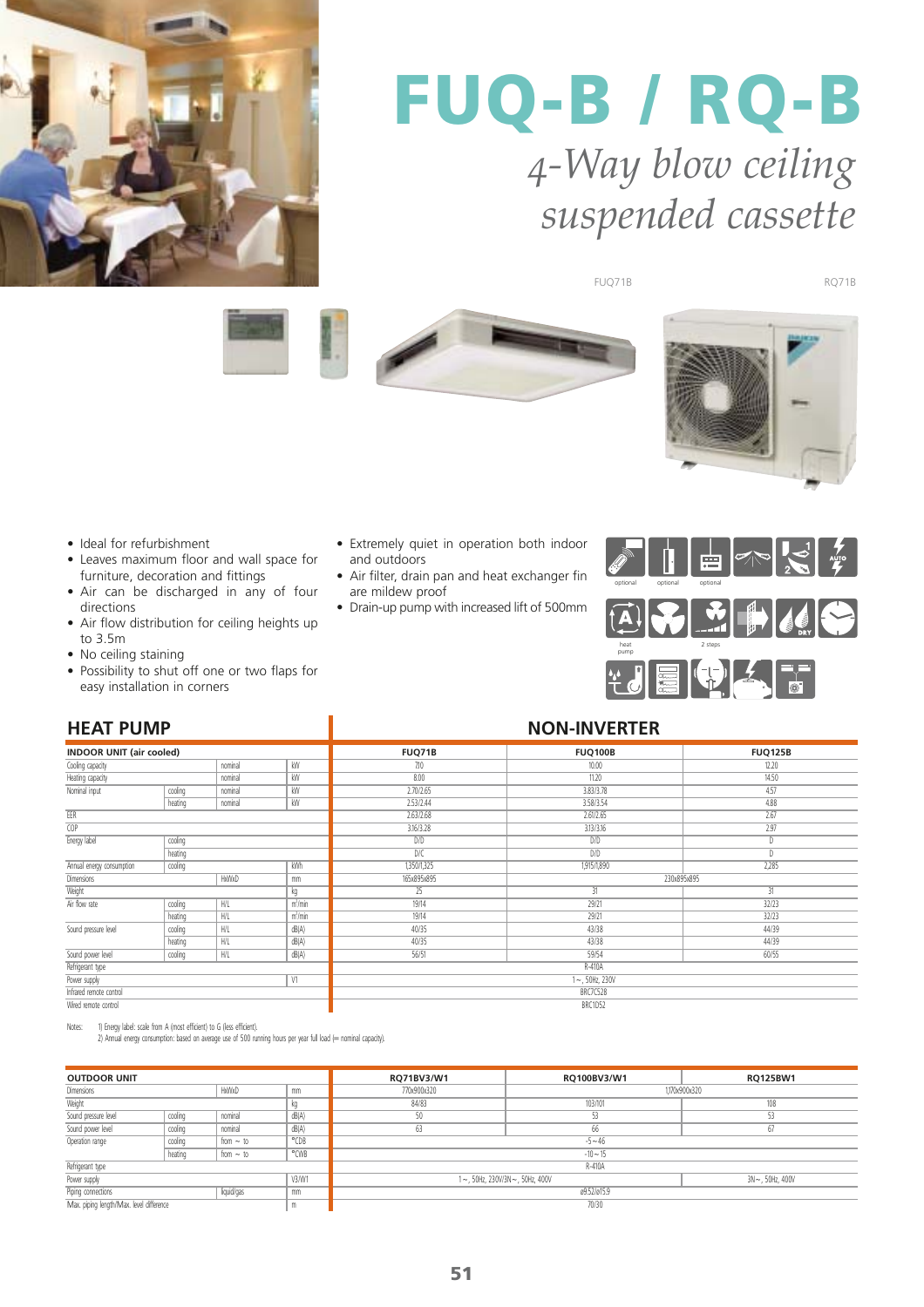

## **FUQ-B / RQ-B** *4-Way blow ceiling suspended cassette*

FUQ71B RQ71B









- Ideal for refurbishment
- Leaves maximum floor and wall space for furniture, decoration and fittings
- Air can be discharged in any of four directions
- Air flow distribution for ceiling heights up to 3.5m
- No ceiling staining
- Possibility to shut off one or two flaps for easy installation in corners
- Extremely quiet in operation both indoor and outdoors
- Air filter, drain pan and heat exchanger fin are mildew proof
- Drain-up pump with increased lift of 500mm



| <b>HEAT PUMP</b>                        |         |             |                     | <b>NON-INVERTER</b> |                |                |  |
|-----------------------------------------|---------|-------------|---------------------|---------------------|----------------|----------------|--|
| <b>INDOOR UNIT (air cooled)</b>         |         |             |                     | <b>FUQ71B</b>       | <b>FUQ100B</b> | <b>FUQ125B</b> |  |
| nominal<br>kW<br>Cooling capacity       |         | 7.10        | 10.00               | 12.20               |                |                |  |
| nominal<br>Heating capacity             |         | kW          | 8.00                | 11.20               | 14.50          |                |  |
| Nominal input                           | cooling | nominal     | kW                  | 2.70/2.65           | 3.83/3.78      | 4.57           |  |
|                                         | heating | nominal     | kW                  | 2.53/2.44           | 3.58/3.54      | 4.88           |  |
| EER                                     |         |             |                     | 2.63/2.68           | 2.61/2.65      | 2.67           |  |
| <b>COP</b>                              |         |             |                     | 3.16/3.28           | 3.13/3.16      | 2.97           |  |
| Energy label                            | cooling |             |                     | D/D                 | D/D            | D              |  |
|                                         | heating |             |                     | D/C                 | D/D            | D              |  |
| Annual energy consumption               | cooling | kWh         |                     | 1,350/1,325         | 1,915/1,890    | 2,285          |  |
| <b>Dimensions</b><br><b>HxWxD</b><br>mm |         | 165x895x895 | 230x895x895         |                     |                |                |  |
| Weight                                  |         | kg          | 25                  | 31                  | 31             |                |  |
| Air flow rate                           | cooling | H/L         | $m^3/m$ in          | 19/14               | 29/21          | 32/23          |  |
|                                         | heating | H/L         | m <sup>3</sup> /min | 19/14               | 29/21          | 32/23          |  |
| Sound pressure level                    | cooling | H/L         | dB(A)               | 40/35               | 43/38          | 44/39          |  |
|                                         | heating | H/L         | dB(A)               | 40/35               | 43/38          | 44/39          |  |
| Sound power level                       | cooling | H/L         | dB(A)               | 56/51               | 59/54          | 60/55          |  |
| Refrigerant type                        |         |             |                     | R-410A              |                |                |  |
| Power supply<br>V1                      |         |             |                     | $1 - 50$ Hz, 230V   |                |                |  |
| Infrared remote control                 |         |             |                     | BRC7C528            |                |                |  |
| Wired remote control                    |         |             |                     | BRC1D52             |                |                |  |

Notes: 1) Energy label: scale from A (most efficient) to G (less efficient).

2) Annual energy consumption: based on average use of 500 running hours per year full load (= nominal capacity).

| <b>OUTDOOR UNIT</b>                           |         |                |                                | RQ71BV3/W1 | RQ100BV3/W1            | <b>RQ125BW1</b> |  |
|-----------------------------------------------|---------|----------------|--------------------------------|------------|------------------------|-----------------|--|
| <b>Dimensions</b><br>HxWxD                    |         | mm             | 770x900x320                    |            | 1,170x900x320          |                 |  |
| Weight                                        |         |                | 84/83                          | 103/101    | 108                    |                 |  |
| Sound pressure level                          | cooling | nominal        | dB(A)                          | 50         | 53                     | 53              |  |
| Sound power level                             | cooling | nominal        | dB(A)                          | 63         | 66                     | b.              |  |
| Operation range<br>cooling<br>from $\sim$ to  |         |                | °CDB                           | $-5 - 46$  |                        |                 |  |
|                                               | heating | from $\sim$ to | °CWB                           | $-10 - 15$ |                        |                 |  |
| Refrigerant type                              |         |                |                                | R-410A     |                        |                 |  |
| V3/W1<br>Power supply                         |         |                | 1~, 50Hz, 230V/3N~, 50Hz, 400V |            | $3N \sim$ , 50Hz, 400V |                 |  |
| Piping connections<br>liquid/gas<br>mm        |         |                | ø9.52/ø15.9                    |            |                        |                 |  |
| Max. piping length/Max. level difference<br>m |         | 70/30          |                                |            |                        |                 |  |